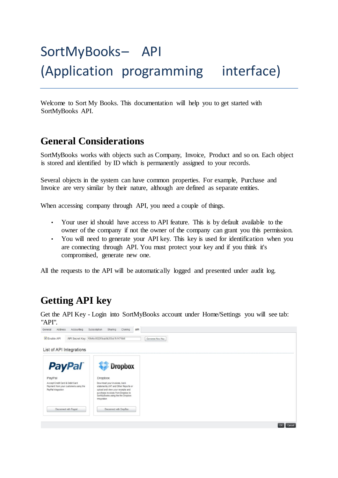# SortMyBooks– API (Application programming interface)

Welcome to Sort My Books. This documentation will help you to get started with SortMyBooks API.

## **General Considerations**

SortMyBooks works with objects such as Company, Invoice, Product and so on. Each object is stored and identified by ID which is permanently assigned to your records.

Several objects in the system can have common properties. For example, Purchase and Invoice are very similar by their nature, although are defined as separate entities.

When accessing company through API, you need a couple of things.

- Your user id should have access to API feature. This is by default available to the owner of the company if not the owner of the company can grant you this permission.
- You will need to generate your API key. This key is used for identification when you are connecting through API. You must protect your key and if you think it's compromised, generate new one.

All the requests to the API will be automatically logged and presented under audit log.

#### **Getting API key**

Get the API Key - Login into SortMyBooks account under Home/Settings you will see tab: "API".

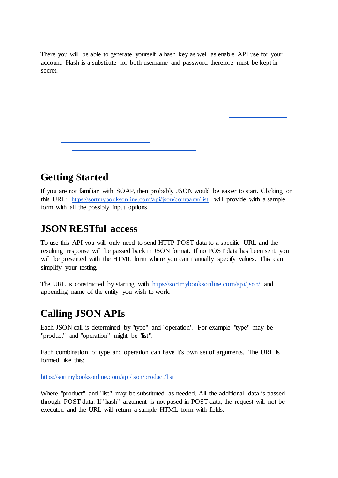There you will be able to generate yourself a hash key as well as enable API use for your account. Hash is a substitute for both username and password therefore must be kept in secret.

**Getting Started** 

If you are not familiar with SOAP, then probably JSON would be easier to start. Clicking on this URL: https://sortmybooksonline.com/api/json/company/list will provide with a sample form with all the possibly input options

#### **JSON RESTful access**

To use this API you will only need to send HTTP POST data to a specific URL and the resulting response will be passed back in JSON format. If no POST data has been sent, you will be presented with the HTML form where you can manually specify values. This can simplify your testing.

The URL is constructed by starting with https://sortmybooksonline.com/api/json/ and appending name of the entity you wish to work.

#### **Calling JSON APIs**

Each JSON call is determined by "type" and "operation". For example "type" may be "product" and "operation" might be "list".

Each combination of type and operation can have it's own set of arguments. The URL is formed like this:

https://sortmybooksonline.com/api/json/product/list

Where "product" and "list" may be substituted as needed. All the additional data is passed through POST data. If "hash" argument is not pased in POST data, the request will not be executed and the URL will return a sample HTML form with fields.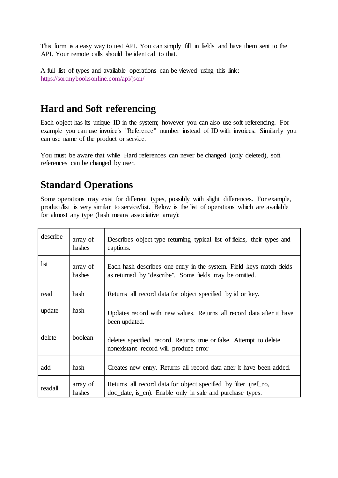This form is a easy way to test API. You can simply fill in fields and have them sent to the API. Your remote calls should be identical to that.

A full list of types and available operations can be viewed using this link: https://sortmybooksonline.com/api/json/

## **Hard and Soft referencing**

Each object has its unique ID in the system; however you can also use soft referencing. For example you can use invoice's "Reference" number instead of ID with invoices. Similarly you can use name of the product or service.

You must be aware that while Hard references can never be changed (only deleted), soft references can be changed by user.

## **Standard Operations**

Some operations may exist for different types, possibly with slight differences. For example, product/list is very similar to service/list. Below is the list of operations which are available for almost any type (hash means associative array):

| describe | array of<br>hashes | Describes object type returning typical list of fields, their types and<br>captions.                                           |
|----------|--------------------|--------------------------------------------------------------------------------------------------------------------------------|
| list     | array of<br>hashes | Each hash describes one entry in the system. Field keys match fields<br>as returned by "describe". Some fields may be omitted. |
| read     | hash               | Returns all record data for object specified by id or key.                                                                     |
| update   | hash               | Updates record with new values. Returns all record data after it have<br>been updated.                                         |
| delete   | boolean            | deletes specified record. Returns true or false. Attempt to delete<br>nonexistant record will produce error                    |
| add      | hash               | Creates new entry. Returns all record data after it have been added.                                                           |
| readall  | array of<br>hashes | Returns all record data for object specified by filter (ref_no,<br>doc_date, is_cn). Enable only in sale and purchase types.   |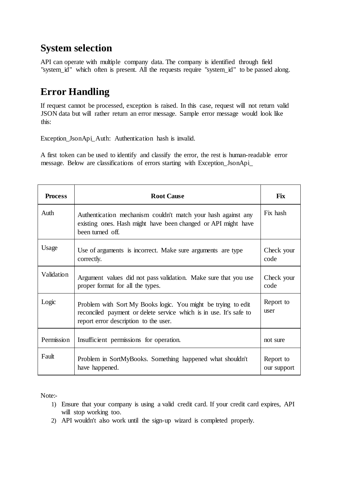## **System selection**

API can operate with multiple company data. The company is identified through field "system\_id" which often is present. All the requests require "system\_id" to be passed along.

# **Error Handling**

If request cannot be processed, exception is raised. In this case, request will not return valid JSON data but will rather return an error message. Sample error message would look like this:

Exception\_JsonApi\_Auth: Authentication hash is invalid.

A first token can be used to identify and classify the error, the rest is human-readable error message. Below are classifications of errors starting with Exception\_JsonApi\_

| <b>Process</b> | <b>Root Cause</b>                                                                                                                                                            | <b>Fix</b>               |
|----------------|------------------------------------------------------------------------------------------------------------------------------------------------------------------------------|--------------------------|
| Auth           | Authentication mechanism couldn't match your hash against any<br>existing ones. Hash might have been changed or API might have<br>been turned off.                           | Fix hash                 |
| Usage          | Use of arguments is incorrect. Make sure arguments are type<br>correctly.                                                                                                    | Check your<br>code       |
| Validation     | Argument values did not pass validation. Make sure that you use<br>proper format for all the types.                                                                          | Check your<br>code       |
| Logic          | Problem with Sort My Books logic. You might be trying to edit<br>reconciled payment or delete service which is in use. It's safe to<br>report error description to the user. | Report to<br>user        |
| Permission     | Insufficient permissions for operation.                                                                                                                                      | not sure                 |
| Fault          | Problem in SortMyBooks. Something happened what shouldn't<br>have happened.                                                                                                  | Report to<br>our support |

Note:-

- 1) Ensure that your company is using a valid credit card. If your credit card expires, API will stop working too.
- 2) API wouldn't also work until the sign-up wizard is completed properly.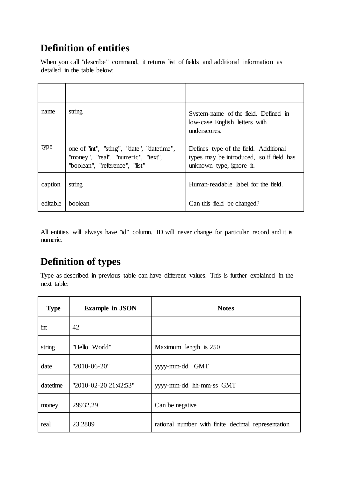# **Definition of entities**

When you call "describe" command, it returns list of fields and additional information as detailed in the table below:

| name     | string                                                                                                              | System-name of the field. Defined in<br>low-case English letters with<br>underscores.                         |
|----------|---------------------------------------------------------------------------------------------------------------------|---------------------------------------------------------------------------------------------------------------|
| type     | one of "int", "sting", "date", "datetime",<br>"money", "real", "numeric", "text",<br>"boolean", "reference", "list" | Defines type of the field. Additional<br>types may be introduced, so if field has<br>unknown type, ignore it. |
| caption  | string                                                                                                              | Human-readable label for the field.                                                                           |
| editable | boolean                                                                                                             | Can this field be changed?                                                                                    |

All entities will always have "id" column. ID will never change for particular record and it is numeric.

# **Definition of types**

Type as described in previous table can have different values. This is further explained in the next table:

| <b>Type</b> | <b>Example in JSON</b> | <b>Notes</b>                                       |
|-------------|------------------------|----------------------------------------------------|
| int         | 42                     |                                                    |
| string      | "Hello World"          | Maximum length is 250                              |
| date        | "2010-06-20"           | yyyy-mm-dd GMT                                     |
| datetime    | "2010-02-20 21:42:53"  | yyyy-mm-dd hh-mm-ss GMT                            |
| money       | 29932.29               | Can be negative                                    |
| real        | 23.2889                | rational number with finite decimal representation |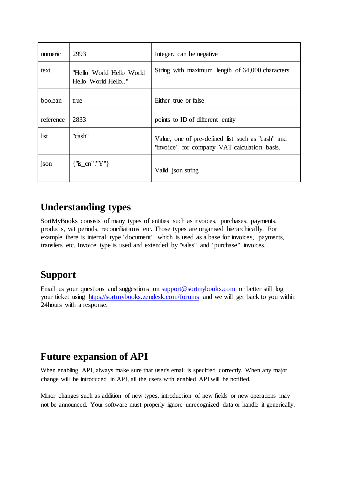| numeric   | 2993                                           | Integer. can be negative.                                                                         |
|-----------|------------------------------------------------|---------------------------------------------------------------------------------------------------|
| text      | "Hello World Hello World<br>Hello World Hello" | String with maximum length of 64,000 characters.                                                  |
| boolean   | true                                           | Either true or false                                                                              |
| reference | 2833                                           | points to ID of different entity                                                                  |
| list      | "cash"                                         | Value, one of pre-defined list such as "cash" and<br>"invoice" for company VAT calculation basis. |
| json      | ${\text{``is\_cn'':''Y''}}$                    | Valid json string                                                                                 |

## **Understanding types**

SortMyBooks consists of many types of entities such as invoices, purchases, payments, products, vat periods, reconciliations etc. Those types are organised hierarchically. For example there is internal type "document" which is used as a base for invoices, payments, transfers etc. Invoice type is used and extended by "sales" and "purchase" invoices.

# **Support**

Email us your questions and suggestions on support@sortmybooks.com or better still log your ticket using https://sortmybooks.zendesk.com/forums and we will get back to you within 24hours with a response.

# **Future expansion of API**

When enabling API, always make sure that user's email is specified correctly. When any major change will be introduced in API, all the users with enabled API will be notified.

Minor changes such as addition of new types, introduction of new fields or new operations may not be announced. Your software must properly ignore unrecognized data or handle it generically.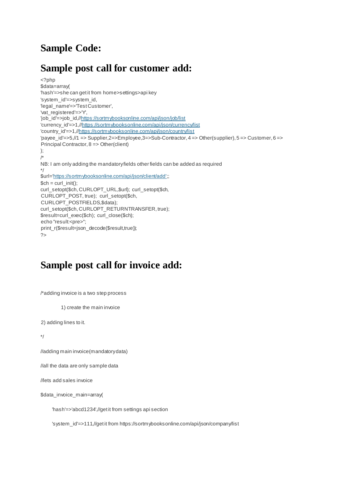# **Sample Code:**

## **Sample post call for customer add:**

```
<?php 
$data=array( 
'hash'=>she can get it from home>settings>api key 
'system_id'=>system_id, 
'legal_name'=>'Test Customer', 
'vat_registered'=>'Y', 
'job_id'=>job_id,//https://sortmybooksonline.com/api/json/job/list 
'currency_id'=>1,//https://sortmybooksonline.com/api/json/currency/list 
'country_id'=>1,//https://sortmybooksonline.com/api/json/country/list 
'payee_id'=>5,//1 => Supplier,2=>Employee,3=>Sub-Contractor, 4 => Other(supplier), 5 => Customer, 6 => 
Principal Contractor, 8 => Other(client) 
); 
/* 
NB: I am only adding the mandatory fields other fields can be added as required 
*/ 
$url='https://sortmybooksonline.com/api/json/client/add';; 
$ch = curl_init();curl_setopt($ch, CURLOPT_URL,$url); curl_setopt($ch, 
CURLOPT_POST, true); curl_setopt($ch, 
CURLOPT_POSTFIELDS,$data); 
curl_setopt($ch, CURLOPT_RETURNTRANSFER, true);
$result=curl_exec($ch); curl_close($ch);
echo "result:<pre>";
print_r($result=json_decode($result,true));
2<sub>></sub>
```
# **Sample post call for invoice add:**

/\*adding invoice is a two step process

1) create the main invoice

2) adding lines to it.

\*/

//adding main invoice(mandatory data)

//all the data are only sample data

//lets add sales invoice

\$data\_invoice\_main=array(

'hash'=>'abcd1234',//get it from settings api section

'system\_id'=>111,//get it from https://sortmybooksonline.com/api/json/company/list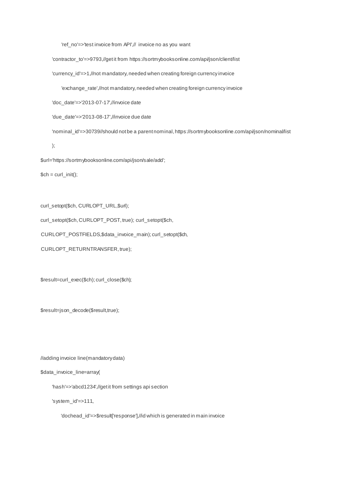'ref\_no'=>'test invoice from API',// invoice no as you want

'contractor\_to'=>9793,//get it from https://sortmybooksonline.com/api/json/client/list

'currency\_id'=>1,//not mandatory, needed when creating foreign currency invoice

'exchange\_rate',//not mandatory, needed when creating foreign currency invoice

'doc\_date'=>'2013-07-17',//invoice date

'due\_date'=>'2013-08-17',//invoice due date

'nominal\_id'=>30739//should not be a parent nominal, https://sortmybooksonline.com/api/json/nominal/list

);

\$url='https://sortmybooksonline.com/api/json/sale/add';

 $$ch = curl_init()$ ;

curl\_setopt(\$ch, CURLOPT\_URL,\$url);

curl\_setopt(\$ch, CURLOPT\_POST, true); curl\_setopt(\$ch,

CURLOPT\_POSTFIELDS,\$data\_invoice\_main); curl\_setopt(\$ch,

CURLOPT\_RETURNTRANSFER, true);

\$result=curl\_exec(\$ch); curl\_close(\$ch);

\$result=json\_decode(\$result,true);

//adding invoice line(mandatory data)

\$data\_invoice\_line=array(

'hash'=>'abcd1234',//get it from settings api section

'system\_id'=>111,

'dochead\_id'=>\$result['response'],//id which is generated in main invoice